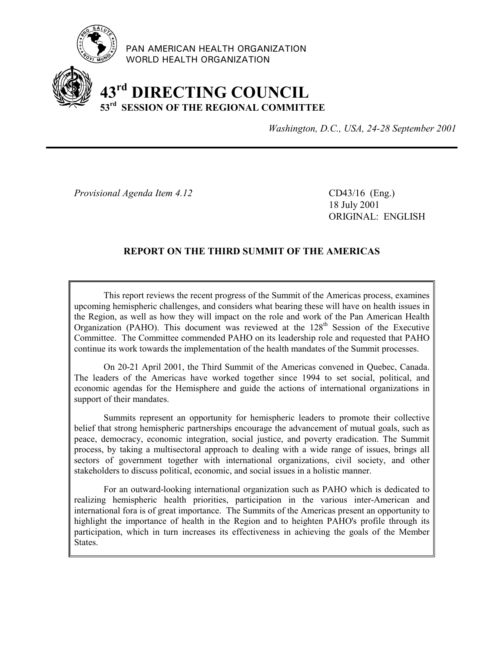

PAN AMERICAN HEALTH ORGANIZATION WORLD HEALTH ORGANIZATION

# **43rd DIRECTING COUNCIL 53rd SESSION OF THE REGIONAL COMMITTEE**

*Washington, D.C., USA, 24-28 September 2001*

*Provisional Agenda Item 4.12* CD43/16 (Eng.)

18 July 2001 ORIGINAL: ENGLISH

# **REPORT ON THE THIRD SUMMIT OF THE AMERICAS**

This report reviews the recent progress of the Summit of the Americas process, examines upcoming hemispheric challenges, and considers what bearing these will have on health issues in the Region, as well as how they will impact on the role and work of the Pan American Health Organization (PAHO). This document was reviewed at the  $128<sup>th</sup>$  Session of the Executive Committee. The Committee commended PAHO on its leadership role and requested that PAHO continue its work towards the implementation of the health mandates of the Summit processes.

On 20-21 April 2001, the Third Summit of the Americas convened in Quebec, Canada. The leaders of the Americas have worked together since 1994 to set social, political, and economic agendas for the Hemisphere and guide the actions of international organizations in support of their mandates.

Summits represent an opportunity for hemispheric leaders to promote their collective belief that strong hemispheric partnerships encourage the advancement of mutual goals, such as peace, democracy, economic integration, social justice, and poverty eradication. The Summit process, by taking a multisectoral approach to dealing with a wide range of issues, brings all sectors of government together with international organizations, civil society, and other stakeholders to discuss political, economic, and social issues in a holistic manner.

For an outward-looking international organization such as PAHO which is dedicated to realizing hemispheric health priorities, participation in the various inter-American and international fora is of great importance. The Summits of the Americas present an opportunity to highlight the importance of health in the Region and to heighten PAHO's profile through its participation, which in turn increases its effectiveness in achieving the goals of the Member States.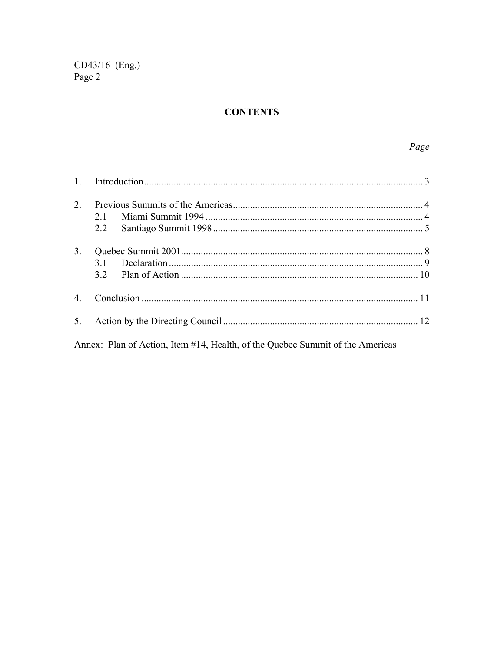# **CONTENTS**

| $2^{\circ}$ | 2.1<br>2.2 |  |
|-------------|------------|--|
| 3.          | 31         |  |
|             |            |  |
| 5.          |            |  |

Annex: Plan of Action, Item #14, Health, of the Quebec Summit of the Americas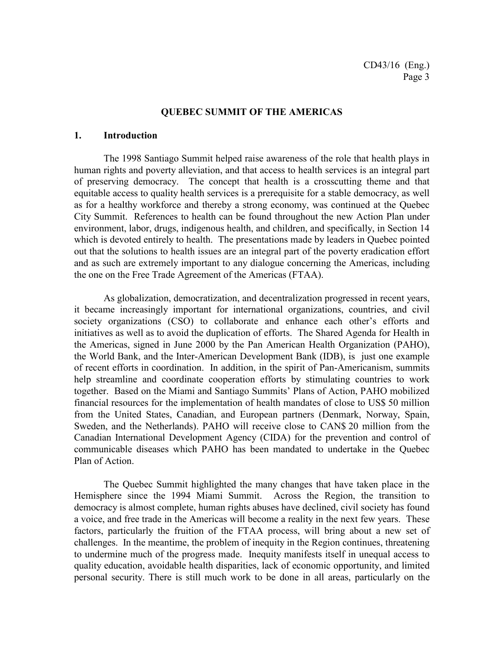### **QUEBEC SUMMIT OF THE AMERICAS**

### **1. Introduction**

The 1998 Santiago Summit helped raise awareness of the role that health plays in human rights and poverty alleviation, and that access to health services is an integral part of preserving democracy. The concept that health is a crosscutting theme and that equitable access to quality health services is a prerequisite for a stable democracy, as well as for a healthy workforce and thereby a strong economy, was continued at the Quebec City Summit. References to health can be found throughout the new Action Plan under environment, labor, drugs, indigenous health, and children, and specifically, in Section 14 which is devoted entirely to health. The presentations made by leaders in Quebec pointed out that the solutions to health issues are an integral part of the poverty eradication effort and as such are extremely important to any dialogue concerning the Americas, including the one on the Free Trade Agreement of the Americas (FTAA).

As globalization, democratization, and decentralization progressed in recent years, it became increasingly important for international organizations, countries, and civil society organizations (CSO) to collaborate and enhance each other's efforts and initiatives as well as to avoid the duplication of efforts. The Shared Agenda for Health in the Americas, signed in June 2000 by the Pan American Health Organization (PAHO), the World Bank, and the Inter-American Development Bank (IDB), is just one example of recent efforts in coordination. In addition, in the spirit of Pan-Americanism, summits help streamline and coordinate cooperation efforts by stimulating countries to work together. Based on the Miami and Santiago Summits' Plans of Action, PAHO mobilized financial resources for the implementation of health mandates of close to US\$ 50 million from the United States, Canadian, and European partners (Denmark, Norway, Spain, Sweden, and the Netherlands). PAHO will receive close to CAN\$ 20 million from the Canadian International Development Agency (CIDA) for the prevention and control of communicable diseases which PAHO has been mandated to undertake in the Quebec Plan of Action.

The Quebec Summit highlighted the many changes that have taken place in the Hemisphere since the 1994 Miami Summit. Across the Region, the transition to democracy is almost complete, human rights abuses have declined, civil society has found a voice, and free trade in the Americas will become a reality in the next few years. These factors, particularly the fruition of the FTAA process, will bring about a new set of challenges. In the meantime, the problem of inequity in the Region continues, threatening to undermine much of the progress made. Inequity manifests itself in unequal access to quality education, avoidable health disparities, lack of economic opportunity, and limited personal security. There is still much work to be done in all areas, particularly on the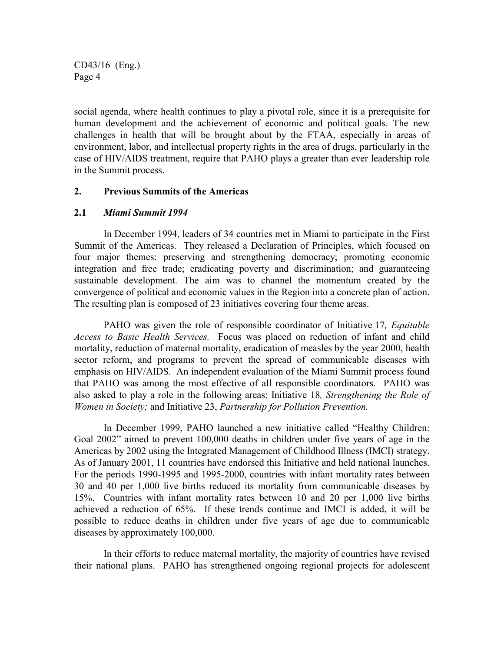social agenda, where health continues to play a pivotal role, since it is a prerequisite for human development and the achievement of economic and political goals. The new challenges in health that will be brought about by the FTAA, especially in areas of environment, labor, and intellectual property rights in the area of drugs, particularly in the case of HIV/AIDS treatment, require that PAHO plays a greater than ever leadership role in the Summit process.

# **2. Previous Summits of the Americas**

### **2.1** *Miami Summit 1994*

In December 1994, leaders of 34 countries met in Miami to participate in the First Summit of the Americas. They released a Declaration of Principles, which focused on four major themes: preserving and strengthening democracy; promoting economic integration and free trade; eradicating poverty and discrimination; and guaranteeing sustainable development. The aim was to channel the momentum created by the convergence of political and economic values in the Region into a concrete plan of action. The resulting plan is composed of 23 initiatives covering four theme areas.

PAHO was given the role of responsible coordinator of Initiative 17*, Equitable Access to Basic Health Services.* Focus was placed on reduction of infant and child mortality, reduction of maternal mortality, eradication of measles by the year 2000, health sector reform, and programs to prevent the spread of communicable diseases with emphasis on HIV/AIDS. An independent evaluation of the Miami Summit process found that PAHO was among the most effective of all responsible coordinators. PAHO was also asked to play a role in the following areas: Initiative 18*, Strengthening the Role of Women in Society;* and Initiative 23, *Partnership for Pollution Prevention.*

In December 1999, PAHO launched a new initiative called "Healthy Children: Goal 2002" aimed to prevent 100,000 deaths in children under five years of age in the Americas by 2002 using the Integrated Management of Childhood Illness (IMCI) strategy. As of January 2001, 11 countries have endorsed this Initiative and held national launches. For the periods 1990-1995 and 1995-2000, countries with infant mortality rates between 30 and 40 per 1,000 live births reduced its mortality from communicable diseases by 15%. Countries with infant mortality rates between 10 and 20 per 1,000 live births achieved a reduction of 65%. If these trends continue and IMCI is added, it will be possible to reduce deaths in children under five years of age due to communicable diseases by approximately 100,000.

In their efforts to reduce maternal mortality, the majority of countries have revised their national plans. PAHO has strengthened ongoing regional projects for adolescent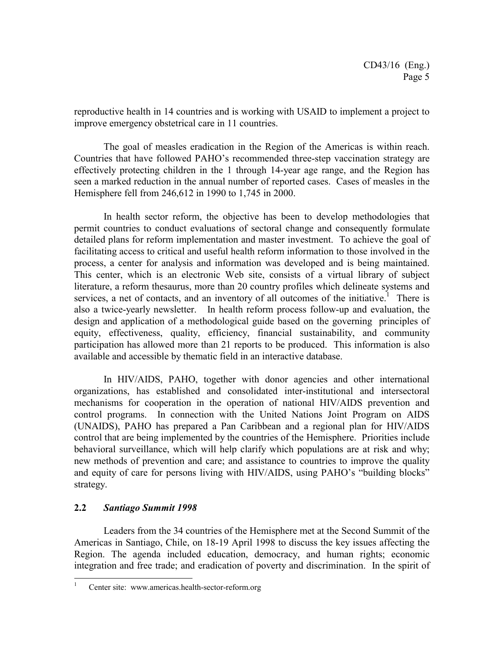reproductive health in 14 countries and is working with USAID to implement a project to improve emergency obstetrical care in 11 countries.

The goal of measles eradication in the Region of the Americas is within reach. Countries that have followed PAHO's recommended three-step vaccination strategy are effectively protecting children in the 1 through 14-year age range, and the Region has seen a marked reduction in the annual number of reported cases. Cases of measles in the Hemisphere fell from 246,612 in 1990 to 1,745 in 2000.

In health sector reform, the objective has been to develop methodologies that permit countries to conduct evaluations of sectoral change and consequently formulate detailed plans for reform implementation and master investment. To achieve the goal of facilitating access to critical and useful health reform information to those involved in the process, a center for analysis and information was developed and is being maintained. This center, which is an electronic Web site, consists of a virtual library of subject literature, a reform thesaurus, more than 20 country profiles which delineate systems and services, a net of contacts, and an inventory of all outcomes of the initiative.<sup>1</sup> There is also a twice-yearly newsletter. In health reform process follow-up and evaluation, the design and application of a methodological guide based on the governing principles of equity, effectiveness, quality, efficiency, financial sustainability, and community participation has allowed more than 21 reports to be produced. This information is also available and accessible by thematic field in an interactive database.

In HIV/AIDS, PAHO, together with donor agencies and other international organizations, has established and consolidated inter-institutional and intersectoral mechanisms for cooperation in the operation of national HIV/AIDS prevention and control programs. In connection with the United Nations Joint Program on AIDS (UNAIDS), PAHO has prepared a Pan Caribbean and a regional plan for HIV/AIDS control that are being implemented by the countries of the Hemisphere. Priorities include behavioral surveillance, which will help clarify which populations are at risk and why; new methods of prevention and care; and assistance to countries to improve the quality and equity of care for persons living with HIV/AIDS, using PAHO's "building blocks" strategy.

# **2.2** *Santiago Summit 1998*

 $\overline{a}$ 

Leaders from the 34 countries of the Hemisphere met at the Second Summit of the Americas in Santiago, Chile, on 18-19 April 1998 to discuss the key issues affecting the Region. The agenda included education, democracy, and human rights; economic integration and free trade; and eradication of poverty and discrimination. In the spirit of

<sup>1</sup> Center site: www.americas.health-sector-reform.org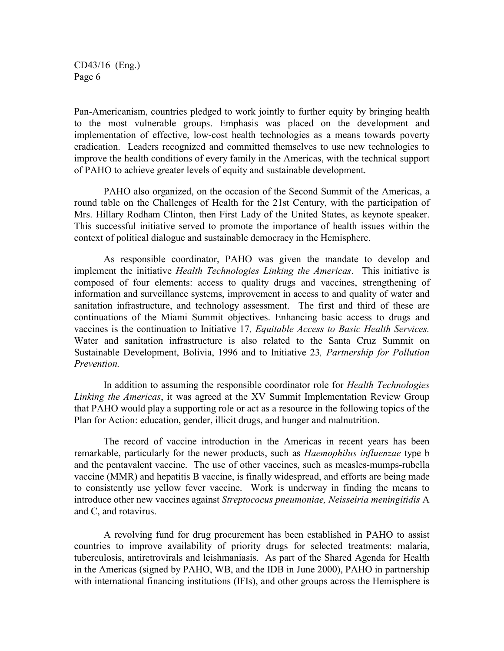Pan-Americanism, countries pledged to work jointly to further equity by bringing health to the most vulnerable groups. Emphasis was placed on the development and implementation of effective, low-cost health technologies as a means towards poverty eradication. Leaders recognized and committed themselves to use new technologies to improve the health conditions of every family in the Americas, with the technical support of PAHO to achieve greater levels of equity and sustainable development.

PAHO also organized, on the occasion of the Second Summit of the Americas, a round table on the Challenges of Health for the 21st Century, with the participation of Mrs. Hillary Rodham Clinton, then First Lady of the United States, as keynote speaker. This successful initiative served to promote the importance of health issues within the context of political dialogue and sustainable democracy in the Hemisphere.

As responsible coordinator, PAHO was given the mandate to develop and implement the initiative *Health Technologies Linking the Americas*. This initiative is composed of four elements: access to quality drugs and vaccines, strengthening of information and surveillance systems, improvement in access to and quality of water and sanitation infrastructure, and technology assessment. The first and third of these are continuations of the Miami Summit objectives. Enhancing basic access to drugs and vaccines is the continuation to Initiative 17*, Equitable Access to Basic Health Services.* Water and sanitation infrastructure is also related to the Santa Cruz Summit on Sustainable Development, Bolivia, 1996 and to Initiative 23*, Partnership for Pollution Prevention.*

In addition to assuming the responsible coordinator role for *Health Technologies Linking the Americas*, it was agreed at the XV Summit Implementation Review Group that PAHO would play a supporting role or act as a resource in the following topics of the Plan for Action: education, gender, illicit drugs, and hunger and malnutrition.

The record of vaccine introduction in the Americas in recent years has been remarkable, particularly for the newer products, such as *Haemophilus influenzae* type b and the pentavalent vaccine. The use of other vaccines, such as measles-mumps-rubella vaccine (MMR) and hepatitis B vaccine, is finally widespread, and efforts are being made to consistently use yellow fever vaccine. Work is underway in finding the means to introduce other new vaccines against *Streptococus pneumoniae, Neisseiria meningitidis* A and C, and rotavirus.

A revolving fund for drug procurement has been established in PAHO to assist countries to improve availability of priority drugs for selected treatments: malaria, tuberculosis, antiretrovirals and leishmaniasis. As part of the Shared Agenda for Health in the Americas (signed by PAHO, WB, and the IDB in June 2000), PAHO in partnership with international financing institutions (IFIs), and other groups across the Hemisphere is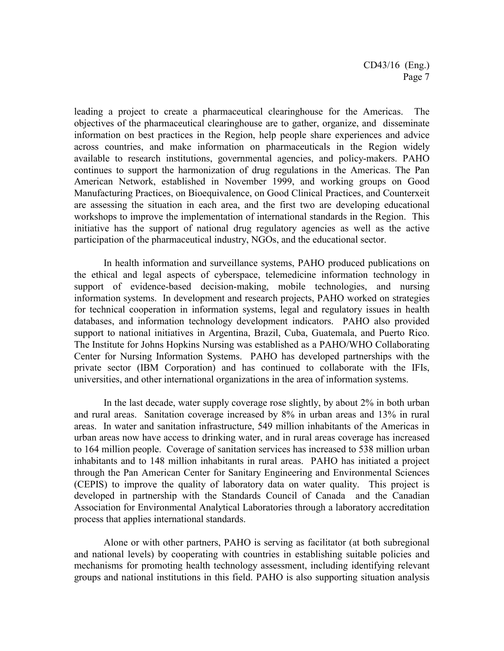leading a project to create a pharmaceutical clearinghouse for the Americas. The objectives of the pharmaceutical clearinghouse are to gather, organize, and disseminate information on best practices in the Region, help people share experiences and advice across countries, and make information on pharmaceuticals in the Region widely available to research institutions, governmental agencies, and policy-makers. PAHO continues to support the harmonization of drug regulations in the Americas. The Pan American Network, established in November 1999, and working groups on Good Manufacturing Practices, on Bioequivalence, on Good Clinical Practices, and Counterxeit are assessing the situation in each area, and the first two are developing educational workshops to improve the implementation of international standards in the Region. This initiative has the support of national drug regulatory agencies as well as the active participation of the pharmaceutical industry, NGOs, and the educational sector.

In health information and surveillance systems, PAHO produced publications on the ethical and legal aspects of cyberspace, telemedicine information technology in support of evidence-based decision-making, mobile technologies, and nursing information systems. In development and research projects, PAHO worked on strategies for technical cooperation in information systems, legal and regulatory issues in health databases, and information technology development indicators. PAHO also provided support to national initiatives in Argentina, Brazil, Cuba, Guatemala, and Puerto Rico. The Institute for Johns Hopkins Nursing was established as a PAHO/WHO Collaborating Center for Nursing Information Systems. PAHO has developed partnerships with the private sector (IBM Corporation) and has continued to collaborate with the IFIs, universities, and other international organizations in the area of information systems.

In the last decade, water supply coverage rose slightly, by about 2% in both urban and rural areas. Sanitation coverage increased by 8% in urban areas and 13% in rural areas. In water and sanitation infrastructure, 549 million inhabitants of the Americas in urban areas now have access to drinking water, and in rural areas coverage has increased to 164 million people. Coverage of sanitation services has increased to 538 million urban inhabitants and to 148 million inhabitants in rural areas. PAHO has initiated a project through the Pan American Center for Sanitary Engineering and Environmental Sciences (CEPIS) to improve the quality of laboratory data on water quality. This project is developed in partnership with the Standards Council of Canada and the Canadian Association for Environmental Analytical Laboratories through a laboratory accreditation process that applies international standards.

Alone or with other partners, PAHO is serving as facilitator (at both subregional and national levels) by cooperating with countries in establishing suitable policies and mechanisms for promoting health technology assessment, including identifying relevant groups and national institutions in this field. PAHO is also supporting situation analysis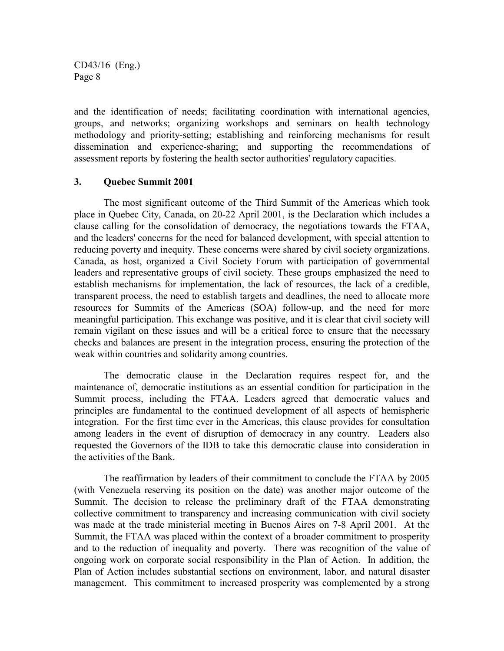and the identification of needs; facilitating coordination with international agencies, groups, and networks; organizing workshops and seminars on health technology methodology and priority-setting; establishing and reinforcing mechanisms for result dissemination and experience-sharing; and supporting the recommendations of assessment reports by fostering the health sector authorities' regulatory capacities.

### **3. Quebec Summit 2001**

The most significant outcome of the Third Summit of the Americas which took place in Quebec City, Canada, on 20-22 April 2001, is the Declaration which includes a clause calling for the consolidation of democracy, the negotiations towards the FTAA, and the leaders' concerns for the need for balanced development, with special attention to reducing poverty and inequity. These concerns were shared by civil society organizations. Canada, as host, organized a Civil Society Forum with participation of governmental leaders and representative groups of civil society. These groups emphasized the need to establish mechanisms for implementation, the lack of resources, the lack of a credible, transparent process, the need to establish targets and deadlines, the need to allocate more resources for Summits of the Americas (SOA) follow-up, and the need for more meaningful participation. This exchange was positive, and it is clear that civil society will remain vigilant on these issues and will be a critical force to ensure that the necessary checks and balances are present in the integration process, ensuring the protection of the weak within countries and solidarity among countries.

The democratic clause in the Declaration requires respect for, and the maintenance of, democratic institutions as an essential condition for participation in the Summit process, including the FTAA. Leaders agreed that democratic values and principles are fundamental to the continued development of all aspects of hemispheric integration. For the first time ever in the Americas, this clause provides for consultation among leaders in the event of disruption of democracy in any country. Leaders also requested the Governors of the IDB to take this democratic clause into consideration in the activities of the Bank.

The reaffirmation by leaders of their commitment to conclude the FTAA by 2005 (with Venezuela reserving its position on the date) was another major outcome of the Summit. The decision to release the preliminary draft of the FTAA demonstrating collective commitment to transparency and increasing communication with civil society was made at the trade ministerial meeting in Buenos Aires on 7-8 April 2001. At the Summit, the FTAA was placed within the context of a broader commitment to prosperity and to the reduction of inequality and poverty. There was recognition of the value of ongoing work on corporate social responsibility in the Plan of Action. In addition, the Plan of Action includes substantial sections on environment, labor, and natural disaster management. This commitment to increased prosperity was complemented by a strong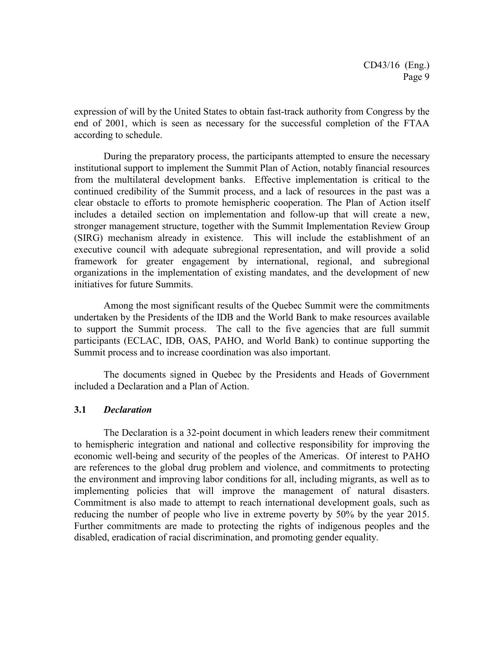expression of will by the United States to obtain fast-track authority from Congress by the end of 2001, which is seen as necessary for the successful completion of the FTAA according to schedule.

During the preparatory process, the participants attempted to ensure the necessary institutional support to implement the Summit Plan of Action, notably financial resources from the multilateral development banks. Effective implementation is critical to the continued credibility of the Summit process, and a lack of resources in the past was a clear obstacle to efforts to promote hemispheric cooperation. The Plan of Action itself includes a detailed section on implementation and follow-up that will create a new, stronger management structure, together with the Summit Implementation Review Group (SIRG) mechanism already in existence. This will include the establishment of an executive council with adequate subregional representation, and will provide a solid framework for greater engagement by international, regional, and subregional organizations in the implementation of existing mandates, and the development of new initiatives for future Summits.

Among the most significant results of the Quebec Summit were the commitments undertaken by the Presidents of the IDB and the World Bank to make resources available to support the Summit process. The call to the five agencies that are full summit participants (ECLAC, IDB, OAS, PAHO, and World Bank) to continue supporting the Summit process and to increase coordination was also important.

The documents signed in Quebec by the Presidents and Heads of Government included a Declaration and a Plan of Action.

### **3.1** *Declaration*

The Declaration is a 32-point document in which leaders renew their commitment to hemispheric integration and national and collective responsibility for improving the economic well-being and security of the peoples of the Americas. Of interest to PAHO are references to the global drug problem and violence, and commitments to protecting the environment and improving labor conditions for all, including migrants, as well as to implementing policies that will improve the management of natural disasters. Commitment is also made to attempt to reach international development goals, such as reducing the number of people who live in extreme poverty by 50% by the year 2015. Further commitments are made to protecting the rights of indigenous peoples and the disabled, eradication of racial discrimination, and promoting gender equality.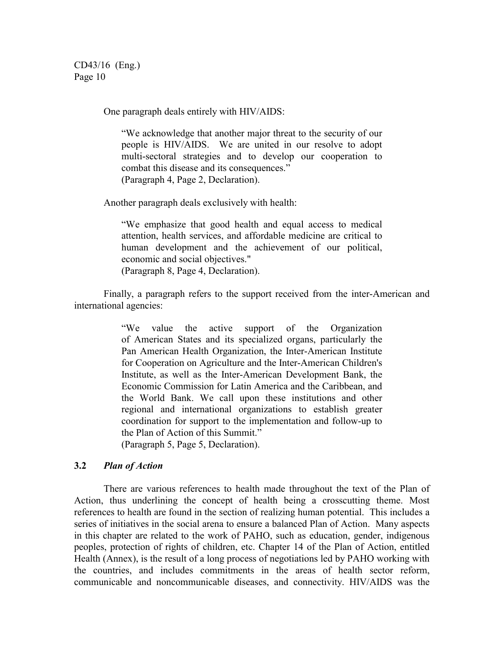One paragraph deals entirely with HIV/AIDS:

"We acknowledge that another major threat to the security of our people is HIV/AIDS. We are united in our resolve to adopt multi-sectoral strategies and to develop our cooperation to combat this disease and its consequences." (Paragraph 4, Page 2, Declaration).

Another paragraph deals exclusively with health:

"We emphasize that good health and equal access to medical attention, health services, and affordable medicine are critical to human development and the achievement of our political, economic and social objectives." (Paragraph 8, Page 4, Declaration).

Finally, a paragraph refers to the support received from the inter-American and international agencies:

> "We value the active support of the Organization of American States and its specialized organs, particularly the Pan American Health Organization, the Inter-American Institute for Cooperation on Agriculture and the Inter-American Children's Institute, as well as the Inter-American Development Bank, the Economic Commission for Latin America and the Caribbean, and the World Bank. We call upon these institutions and other regional and international organizations to establish greater coordination for support to the implementation and follow-up to the Plan of Action of this Summit."

(Paragraph 5, Page 5, Declaration).

# **3.2** *Plan of Action*

There are various references to health made throughout the text of the Plan of Action, thus underlining the concept of health being a crosscutting theme. Most references to health are found in the section of realizing human potential. This includes a series of initiatives in the social arena to ensure a balanced Plan of Action. Many aspects in this chapter are related to the work of PAHO, such as education, gender, indigenous peoples, protection of rights of children, etc. Chapter 14 of the Plan of Action, entitled Health (Annex), is the result of a long process of negotiations led by PAHO working with the countries, and includes commitments in the areas of health sector reform, communicable and noncommunicable diseases, and connectivity. HIV/AIDS was the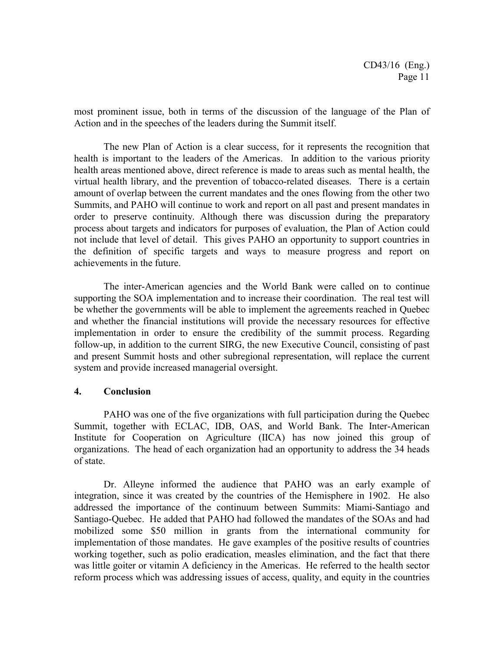most prominent issue, both in terms of the discussion of the language of the Plan of Action and in the speeches of the leaders during the Summit itself.

The new Plan of Action is a clear success, for it represents the recognition that health is important to the leaders of the Americas. In addition to the various priority health areas mentioned above, direct reference is made to areas such as mental health, the virtual health library, and the prevention of tobacco-related diseases. There is a certain amount of overlap between the current mandates and the ones flowing from the other two Summits, and PAHO will continue to work and report on all past and present mandates in order to preserve continuity. Although there was discussion during the preparatory process about targets and indicators for purposes of evaluation, the Plan of Action could not include that level of detail. This gives PAHO an opportunity to support countries in the definition of specific targets and ways to measure progress and report on achievements in the future.

The inter-American agencies and the World Bank were called on to continue supporting the SOA implementation and to increase their coordination. The real test will be whether the governments will be able to implement the agreements reached in Quebec and whether the financial institutions will provide the necessary resources for effective implementation in order to ensure the credibility of the summit process. Regarding follow-up, in addition to the current SIRG, the new Executive Council, consisting of past and present Summit hosts and other subregional representation, will replace the current system and provide increased managerial oversight.

# **4. Conclusion**

PAHO was one of the five organizations with full participation during the Quebec Summit, together with ECLAC, IDB, OAS, and World Bank. The Inter-American Institute for Cooperation on Agriculture (IICA) has now joined this group of organizations. The head of each organization had an opportunity to address the 34 heads of state.

Dr. Alleyne informed the audience that PAHO was an early example of integration, since it was created by the countries of the Hemisphere in 1902. He also addressed the importance of the continuum between Summits: Miami-Santiago and Santiago-Quebec. He added that PAHO had followed the mandates of the SOAs and had mobilized some \$50 million in grants from the international community for implementation of those mandates. He gave examples of the positive results of countries working together, such as polio eradication, measles elimination, and the fact that there was little goiter or vitamin A deficiency in the Americas. He referred to the health sector reform process which was addressing issues of access, quality, and equity in the countries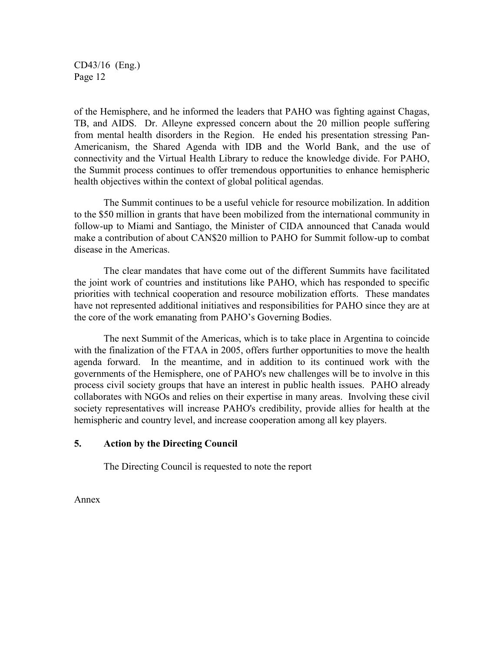of the Hemisphere, and he informed the leaders that PAHO was fighting against Chagas, TB, and AIDS. Dr. Alleyne expressed concern about the 20 million people suffering from mental health disorders in the Region. He ended his presentation stressing Pan-Americanism, the Shared Agenda with IDB and the World Bank, and the use of connectivity and the Virtual Health Library to reduce the knowledge divide. For PAHO, the Summit process continues to offer tremendous opportunities to enhance hemispheric health objectives within the context of global political agendas.

The Summit continues to be a useful vehicle for resource mobilization. In addition to the \$50 million in grants that have been mobilized from the international community in follow-up to Miami and Santiago, the Minister of CIDA announced that Canada would make a contribution of about CAN\$20 million to PAHO for Summit follow-up to combat disease in the Americas.

The clear mandates that have come out of the different Summits have facilitated the joint work of countries and institutions like PAHO, which has responded to specific priorities with technical cooperation and resource mobilization efforts. These mandates have not represented additional initiatives and responsibilities for PAHO since they are at the core of the work emanating from PAHO's Governing Bodies.

The next Summit of the Americas, which is to take place in Argentina to coincide with the finalization of the FTAA in 2005, offers further opportunities to move the health agenda forward. In the meantime, and in addition to its continued work with the governments of the Hemisphere, one of PAHO's new challenges will be to involve in this process civil society groups that have an interest in public health issues. PAHO already collaborates with NGOs and relies on their expertise in many areas. Involving these civil society representatives will increase PAHO's credibility, provide allies for health at the hemispheric and country level, and increase cooperation among all key players.

# **5. Action by the Directing Council**

The Directing Council is requested to note the report

Annex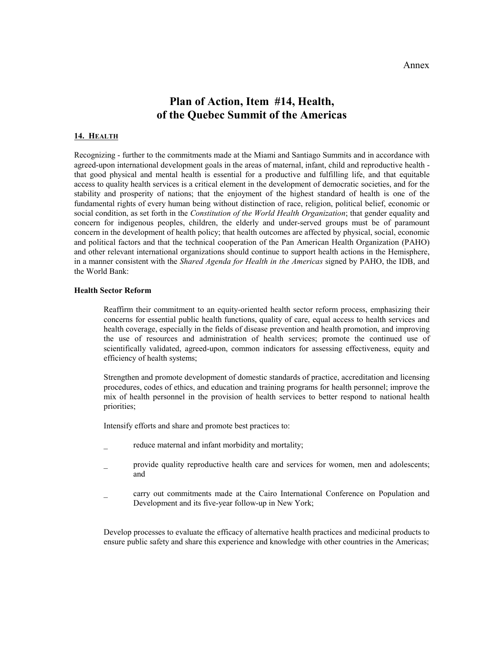# **Plan of Action, Item #14, Health, of the Quebec Summit of the Americas**

#### **14. HEALTH**

Recognizing - further to the commitments made at the Miami and Santiago Summits and in accordance with agreed-upon international development goals in the areas of maternal, infant, child and reproductive health that good physical and mental health is essential for a productive and fulfilling life, and that equitable access to quality health services is a critical element in the development of democratic societies, and for the stability and prosperity of nations; that the enjoyment of the highest standard of health is one of the fundamental rights of every human being without distinction of race, religion, political belief, economic or social condition, as set forth in the *Constitution of the World Health Organization*; that gender equality and concern for indigenous peoples, children, the elderly and under-served groups must be of paramount concern in the development of health policy; that health outcomes are affected by physical, social, economic and political factors and that the technical cooperation of the Pan American Health Organization (PAHO) and other relevant international organizations should continue to support health actions in the Hemisphere, in a manner consistent with the *Shared Agenda for Health in the Americas* signed by PAHO, the IDB, and the World Bank:

#### **Health Sector Reform**

Reaffirm their commitment to an equity-oriented health sector reform process, emphasizing their concerns for essential public health functions, quality of care, equal access to health services and health coverage, especially in the fields of disease prevention and health promotion, and improving the use of resources and administration of health services; promote the continued use of scientifically validated, agreed-upon, common indicators for assessing effectiveness, equity and efficiency of health systems;

Strengthen and promote development of domestic standards of practice, accreditation and licensing procedures, codes of ethics, and education and training programs for health personnel; improve the mix of health personnel in the provision of health services to better respond to national health priorities;

Intensify efforts and share and promote best practices to:

- reduce maternal and infant morbidity and mortality;
- provide quality reproductive health care and services for women, men and adolescents; and
- \_ carry out commitments made at the Cairo International Conference on Population and Development and its five-year follow-up in New York;

Develop processes to evaluate the efficacy of alternative health practices and medicinal products to ensure public safety and share this experience and knowledge with other countries in the Americas;